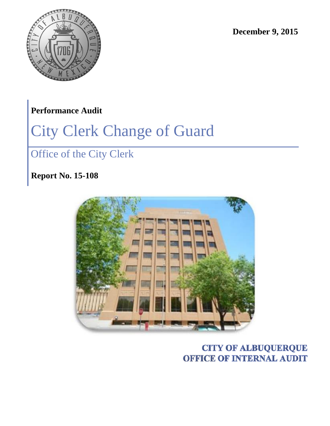

**December 9, 2015**

# **Performance Audit**

# City Clerk Change of Guard

# Office of the City Clerk

**Report No. 15-108**



# **CITY OF ALBUQUERQUE OFFICE OF INTERNAL AUDIT**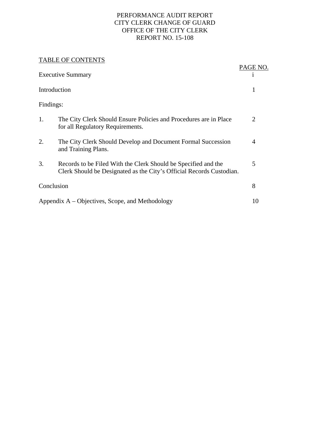#### PERFORMANCE AUDIT REPORT CITY CLERK CHANGE OF GUARD OFFICE OF THE CITY CLERK REPORT NO. 15-108

#### TABLE OF CONTENTS

|                                                    | TADLE OF CONTENTS                                                                                                                      |                |
|----------------------------------------------------|----------------------------------------------------------------------------------------------------------------------------------------|----------------|
| <b>Executive Summary</b>                           |                                                                                                                                        | PAGE NO.       |
| Introduction                                       |                                                                                                                                        | 1              |
| Findings:                                          |                                                                                                                                        |                |
| 1.                                                 | The City Clerk Should Ensure Policies and Procedures are in Place<br>for all Regulatory Requirements.                                  | 2              |
| 2.                                                 | The City Clerk Should Develop and Document Formal Succession<br>and Training Plans.                                                    | $\overline{4}$ |
| 3.                                                 | Records to be Filed With the Clerk Should be Specified and the<br>Clerk Should be Designated as the City's Official Records Custodian. | 5              |
| Conclusion                                         |                                                                                                                                        | 8              |
| Appendix $A - Objectives$ , Scope, and Methodology |                                                                                                                                        | 10             |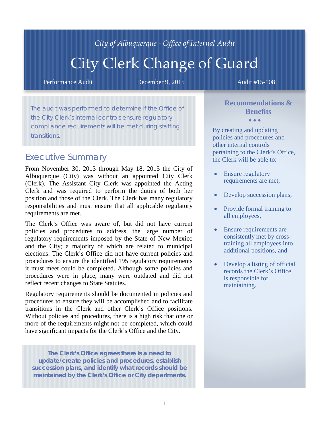# *City of Albuquerque - Office of Internal Audit*

# City Clerk Change of Guard

Performance Audit **December 9, 2015** Audit #15-108

The audit was performed to determine if the Office of the City Clerk's internal controls ensure regulatory compliance requirements will be met during staffing transitions.

#### *Executive Summary*

From November 30, 2013 through May 18, 2015 the City of Albuquerque (City) was without an appointed City Clerk (Clerk). The Assistant City Clerk was appointed the Acting Clerk and was required to perform the duties of both her position and those of the Clerk. The Clerk has many regulatory responsibilities and must ensure that all applicable regulatory requirements are met.

The Clerk's Office was aware of, but did not have current policies and procedures to address, the large number of regulatory requirements imposed by the State of New Mexico and the City; a majority of which are related to municipal elections. The Clerk's Office did not have current policies and procedures to ensure the identified 195 regulatory requirements it must meet could be completed. Although some policies and procedures were in place, many were outdated and did not reflect recent changes to State Statutes.

Regulatory requirements should be documented in policies and procedures to ensure they will be accomplished and to facilitate transitions in the Clerk and other Clerk's Office positions. Without policies and procedures, there is a high risk that one or more of the requirements might not be completed, which could have significant impacts for the Clerk's Office and the City.

**The Clerk's Office agrees there is a need to update/create policies and procedures, establish succession plans, and identify what records should be maintained by the Clerk's Office or City departments.**

#### **Recommendations & Benefits**  • • •

By creating and updating policies and procedures and other internal controls pertaining to the Clerk's Office, the Clerk will be able to:

- Ensure regulatory requirements are met,
- Develop succession plans,
- Provide formal training to all employees,
- Ensure requirements are consistently met by crosstraining all employees into additional positions, and
- Develop a listing of official records the Clerk's Office is responsible for maintaining.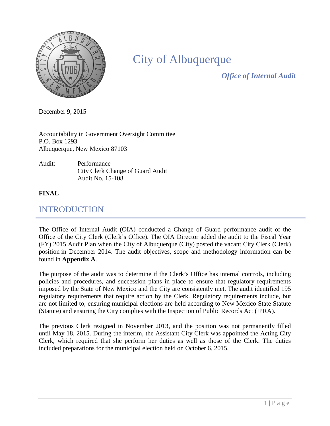

# City of Albuquerque

*Office of Internal Audit*

December 9, 2015

Accountability in Government Oversight Committee P.O. Box 1293 Albuquerque, New Mexico 87103

#### Audit: Performance City Clerk Change of Guard Audit Audit No. 15-108

#### **FINAL**

# INTRODUCTION

The Office of Internal Audit (OIA) conducted a Change of Guard performance audit of the Office of the City Clerk (Clerk's Office). The OIA Director added the audit to the Fiscal Year (FY) 2015 Audit Plan when the City of Albuquerque (City) posted the vacant City Clerk (Clerk) position in December 2014. The audit objectives, scope and methodology information can be found in **Appendix A**.

The purpose of the audit was to determine if the Clerk's Office has internal controls, including policies and procedures, and succession plans in place to ensure that regulatory requirements imposed by the State of New Mexico and the City are consistently met. The audit identified 195 regulatory requirements that require action by the Clerk. Regulatory requirements include, but are not limited to, ensuring municipal elections are held according to New Mexico State Statute (Statute) and ensuring the City complies with the Inspection of Public Records Act (IPRA).

The previous Clerk resigned in November 2013, and the position was not permanently filled until May 18, 2015. During the interim, the Assistant City Clerk was appointed the Acting City Clerk, which required that she perform her duties as well as those of the Clerk. The duties included preparations for the municipal election held on October 6, 2015.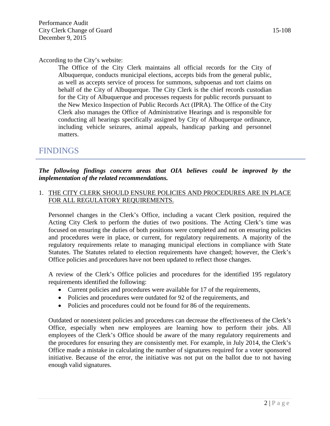According to the City's website:

The Office of the City Clerk maintains all official records for the City of Albuquerque, conducts municipal elections, accepts bids from the general public, as well as accepts service of process for summons, subpoenas and tort claims on behalf of the City of Albuquerque. The City Clerk is the chief records custodian for the City of Albuquerque and processes requests for public records pursuant to the New Mexico Inspection of Public Records Act (IPRA). The Office of the City Clerk also manages the Office of Administrative Hearings and is responsible for conducting all hearings specifically assigned by City of Albuquerque ordinance, including vehicle seizures, animal appeals, handicap parking and personnel matters.

## FINDINGS

*The following findings concern areas that OIA believes could be improved by the implementation of the related recommendations.*

#### 1. THE CITY CLERK SHOULD ENSURE POLICIES AND PROCEDURES ARE IN PLACE FOR ALL REGULATORY REQUIREMENTS.

Personnel changes in the Clerk's Office, including a vacant Clerk position, required the Acting City Clerk to perform the duties of two positions. The Acting Clerk's time was focused on ensuring the duties of both positions were completed and not on ensuring policies and procedures were in place, or current, for regulatory requirements. A majority of the regulatory requirements relate to managing municipal elections in compliance with State Statutes. The Statutes related to election requirements have changed; however, the Clerk's Office policies and procedures have not been updated to reflect those changes.

A review of the Clerk's Office policies and procedures for the identified 195 regulatory requirements identified the following:

- Current policies and procedures were available for 17 of the requirements,
- Policies and procedures were outdated for 92 of the requirements, and
- Policies and procedures could not be found for 86 of the requirements.

Outdated or nonexistent policies and procedures can decrease the effectiveness of the Clerk's Office, especially when new employees are learning how to perform their jobs. All employees of the Clerk's Office should be aware of the many regulatory requirements and the procedures for ensuring they are consistently met. For example, in July 2014, the Clerk's Office made a mistake in calculating the number of signatures required for a voter sponsored initiative. Because of the error, the initiative was not put on the ballot due to not having enough valid signatures.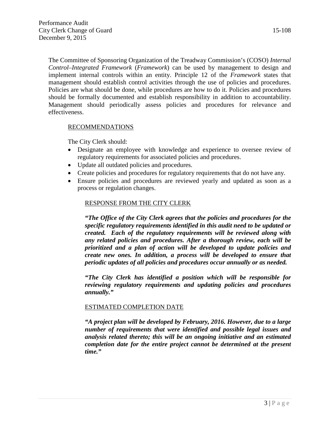The Committee of Sponsoring Organization of the Treadway Commission's (COSO) *Internal Control–Integrated Framework* (*Framework*) can be used by management to design and implement internal controls within an entity. Principle 12 of the *Framework* states that management should establish control activities through the use of policies and procedures. Policies are what should be done, while procedures are how to do it. Policies and procedures should be formally documented and establish responsibility in addition to accountability. Management should periodically assess policies and procedures for relevance and effectiveness.

#### RECOMMENDATIONS

The City Clerk should:

- Designate an employee with knowledge and experience to oversee review of regulatory requirements for associated policies and procedures.
- Update all outdated policies and procedures.
- Create policies and procedures for regulatory requirements that do not have any.
- Ensure policies and procedures are reviewed yearly and updated as soon as a process or regulation changes.

#### RESPONSE FROM THE CITY CLERK

*"The Office of the City Clerk agrees that the policies and procedures for the specific regulatory requirements identified in this audit need to be updated or created. Each of the regulatory requirements will be reviewed along with any related policies and procedures. After a thorough review, each will be prioritized and a plan of action will be developed to update policies and create new ones. In addition, a process will be developed to ensure that periodic updates of all policies and procedures occur annually or as needed.*

*"The City Clerk has identified a position which will be responsible for reviewing regulatory requirements and updating policies and procedures annually."* 

#### ESTIMATED COMPLETION DATE

*"A project plan will be developed by February, 2016. However, due to a large number of requirements that were identified and possible legal issues and analysis related thereto; this will be an ongoing initiative and an estimated completion date for the entire project cannot be determined at the present time."*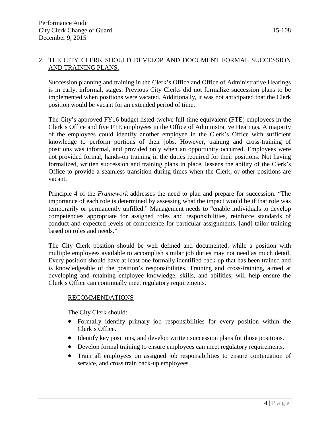#### 2. THE CITY CLERK SHOULD DEVELOP AND DOCUMENT FORMAL SUCCESSION AND TRAINING PLANS.

Succession planning and training in the Clerk's Office and Office of Administrative Hearings is in early, informal, stages. Previous City Clerks did not formalize succession plans to be implemented when positions were vacated. Additionally, it was not anticipated that the Clerk position would be vacant for an extended period of time.

The City's approved FY16 budget listed twelve full-time equivalent (FTE) employees in the Clerk's Office and five FTE employees in the Office of Administrative Hearings. A majority of the employees could identify another employee in the Clerk's Office with sufficient knowledge to perform portions of their jobs. However, training and cross-training of positions was informal, and provided only when an opportunity occurred. Employees were not provided formal, hands-on training in the duties required for their positions. Not having formalized, written succession and training plans in place, lessens the ability of the Clerk's Office to provide a seamless transition during times when the Clerk, or other positions are vacant.

Principle 4 of the *Framework* addresses the need to plan and prepare for succession. "The importance of each role is determined by assessing what the impact would be if that role was temporarily or permanently unfilled." Management needs to "enable individuals to develop competencies appropriate for assigned roles and responsibilities, reinforce standards of conduct and expected levels of competence for particular assignments, [and] tailor training based on roles and needs."

The City Clerk position should be well defined and documented, while a position with multiple employees available to accomplish similar job duties may not need as much detail. Every position should have at least one formally identified back-up that has been trained and is knowledgeable of the position's responsibilities. Training and cross-training, aimed at developing and retaining employee knowledge, skills, and abilities, will help ensure the Clerk's Office can continually meet regulatory requirements.

#### RECOMMENDATIONS

The City Clerk should:

- Formally identify primary job responsibilities for every position within the Clerk's Office.
- Identify key positions, and develop written succession plans for those positions.
- Develop formal training to ensure employees can meet regulatory requirements.
- Train all employees on assigned job responsibilities to ensure continuation of service, and cross train back-up employees.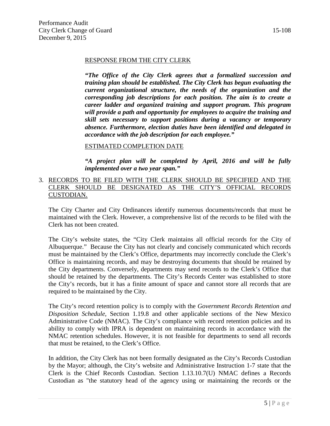#### RESPONSE FROM THE CITY CLERK

*"The Office of the City Clerk agrees that a formalized succession and training plan should be established. The City Clerk has begun evaluating the current organizational structure, the needs of the organization and the corresponding job descriptions for each position. The aim is to create a career ladder and organized training and support program. This program will provide a path and opportunity for employees to acquire the training and skill sets necessary to support positions during a vacancy or temporary absence. Furthermore, election duties have been identified and delegated in accordance with the job description for each employee."* 

#### ESTIMATED COMPLETION DATE

*"A project plan will be completed by April, 2016 and will be fully implemented over a two year span."*

#### 3. RECORDS TO BE FILED WITH THE CLERK SHOULD BE SPECIFIED AND THE CLERK SHOULD BE DESIGNATED AS THE CITY'S OFFICIAL RECORDS CUSTODIAN.

The City Charter and City Ordinances identify numerous documents/records that must be maintained with the Clerk. However, a comprehensive list of the records to be filed with the Clerk has not been created.

The City's website states, the "City Clerk maintains all official records for the City of Albuquerque." Because the City has not clearly and concisely communicated which records must be maintained by the Clerk's Office, departments may incorrectly conclude the Clerk's Office is maintaining records, and may be destroying documents that should be retained by the City departments. Conversely, departments may send records to the Clerk's Office that should be retained by the departments. The City's Records Center was established to store the City's records, but it has a finite amount of space and cannot store all records that are required to be maintained by the City.

The City's record retention policy is to comply with the *Government Records Retention and Disposition Schedule*, Section 1.19.8 and other applicable sections of the New Mexico Administrative Code (NMAC). The City's compliance with record retention policies and its ability to comply with IPRA is dependent on maintaining records in accordance with the NMAC retention schedules. However, it is not feasible for departments to send all records that must be retained, to the Clerk's Office.

In addition, the City Clerk has not been formally designated as the City's Records Custodian by the Mayor; although, the City's website and Administrative Instruction 1-7 state that the Clerk is the Chief Records Custodian. Section 1.13.10.7(U) NMAC defines a Records Custodian as "the statutory head of the agency using or maintaining the records or the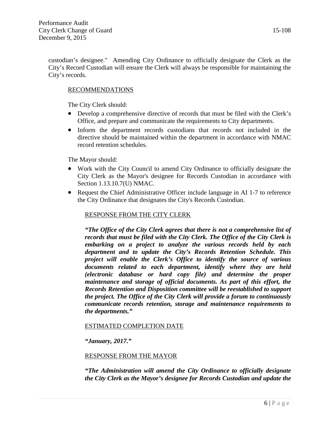custodian's designee." Amending City Ordinance to officially designate the Clerk as the City's Record Custodian will ensure the Clerk will always be responsible for maintaining the City's records.

#### RECOMMENDATIONS

The City Clerk should:

- Develop a comprehensive directive of records that must be filed with the Clerk's Office, and prepare and communicate the requirements to City departments.
- Inform the department records custodians that records not included in the directive should be maintained within the department in accordance with NMAC record retention schedules.

The Mayor should:

- Work with the City Council to amend City Ordinance to officially designate the City Clerk as the Mayor's designee for Records Custodian in accordance with Section 1.13.10.7(U) NMAC.
- Request the Chief Administrative Officer include language in AI 1-7 to reference the City Ordinance that designates the City's Records Custodian.

#### RESPONSE FROM THE CITY CLERK

*"The Office of the City Clerk agrees that there is not a comprehensive list of records that must be filed with the City Clerk. The Office of the City Clerk is embarking on a project to analyze the various records held by each department and to update the City's Records Retention Schedule. This project will enable the Clerk's Office to identify the source of various documents related to each department, identify where they are held (electronic database or hard copy file) and determine the proper maintenance and storage of official documents. As part of this effort, the Records Retention and Disposition committee will be reestablished to support the project. The Office of the City Clerk will provide a forum to continuously communicate records retention, storage and maintenance requirements to the departments."* 

#### ESTIMATED COMPLETION DATE

#### *"January, 2017."*

#### RESPONSE FROM THE MAYOR

*"The Administration will amend the City Ordinance to officially designate the City Clerk as the Mayor's designee for Records Custodian and update the*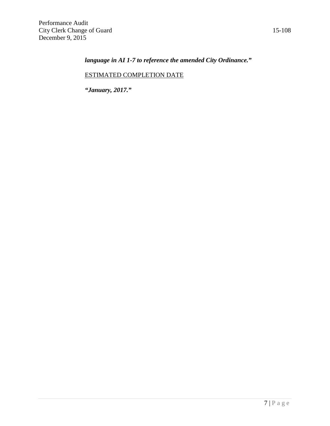### *language in AI 1-7 to reference the amended City Ordinance."*

#### ESTIMATED COMPLETION DATE

*"January, 2017."*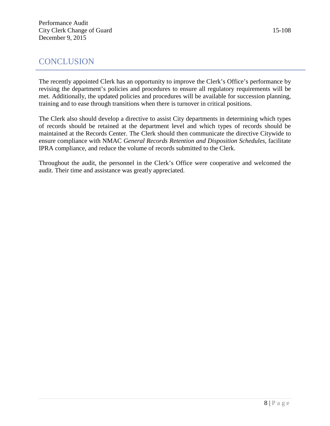# **CONCLUSION**

The recently appointed Clerk has an opportunity to improve the Clerk's Office's performance by revising the department's policies and procedures to ensure all regulatory requirements will be met. Additionally, the updated policies and procedures will be available for succession planning, training and to ease through transitions when there is turnover in critical positions.

The Clerk also should develop a directive to assist City departments in determining which types of records should be retained at the department level and which types of records should be maintained at the Records Center. The Clerk should then communicate the directive Citywide to ensure compliance with NMAC *General Records Retention and Disposition Schedules*, facilitate IPRA compliance, and reduce the volume of records submitted to the Clerk.

Throughout the audit, the personnel in the Clerk's Office were cooperative and welcomed the audit. Their time and assistance was greatly appreciated.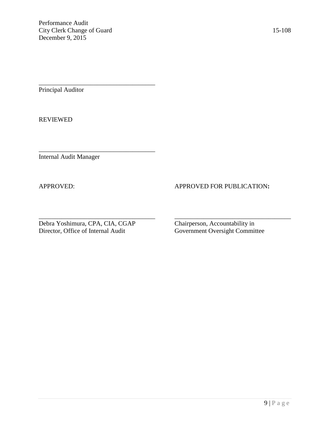\_\_\_\_\_\_\_\_\_\_\_\_\_\_\_\_\_\_\_\_\_\_\_\_\_\_\_\_\_\_\_\_\_\_\_\_

\_\_\_\_\_\_\_\_\_\_\_\_\_\_\_\_\_\_\_\_\_\_\_\_\_\_\_\_\_\_\_\_\_\_\_\_

Principal Auditor

REVIEWED

Internal Audit Manager

#### APPROVED: APPROVED FOR PUBLICATION:

\_\_\_\_\_\_\_\_\_\_\_\_\_\_\_\_\_\_\_\_\_\_\_\_\_\_\_\_\_\_\_\_\_\_\_\_ \_\_\_\_\_\_\_\_\_\_\_\_\_\_\_\_\_\_\_\_\_\_\_\_\_\_\_\_\_\_\_\_\_\_\_\_ Debra Yoshimura, CPA, CIA, CGAP Chairperson, Accountability in Director, Office of Internal Audit Government Oversight Committee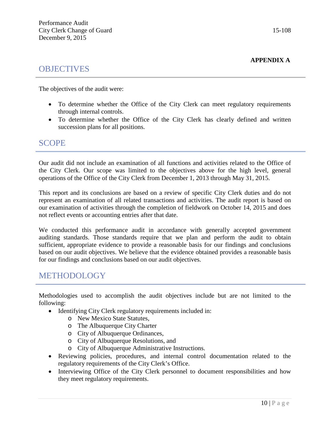# **OBJECTIVES**

The objectives of the audit were:

- To determine whether the Office of the City Clerk can meet regulatory requirements through internal controls.
- To determine whether the Office of the City Clerk has clearly defined and written succession plans for all positions.

#### SCOPE

Our audit did not include an examination of all functions and activities related to the Office of the City Clerk. Our scope was limited to the objectives above for the high level, general operations of the Office of the City Clerk from December 1, 2013 through May 31, 2015.

This report and its conclusions are based on a review of specific City Clerk duties and do not represent an examination of all related transactions and activities. The audit report is based on our examination of activities through the completion of fieldwork on October 14, 2015 and does not reflect events or accounting entries after that date.

We conducted this performance audit in accordance with generally accepted government auditing standards. Those standards require that we plan and perform the audit to obtain sufficient, appropriate evidence to provide a reasonable basis for our findings and conclusions based on our audit objectives. We believe that the evidence obtained provides a reasonable basis for our findings and conclusions based on our audit objectives.

## METHODOLOGY

Methodologies used to accomplish the audit objectives include but are not limited to the following:

- Identifying City Clerk regulatory requirements included in:
	- o New Mexico State Statutes,
	- o The Albuquerque City Charter
	- o City of Albuquerque Ordinances,
	- o City of Albuquerque Resolutions, and
	- o City of Albuquerque Administrative Instructions.
- Reviewing policies, procedures, and internal control documentation related to the regulatory requirements of the City Clerk's Office.
- Interviewing Office of the City Clerk personnel to document responsibilities and how they meet regulatory requirements.